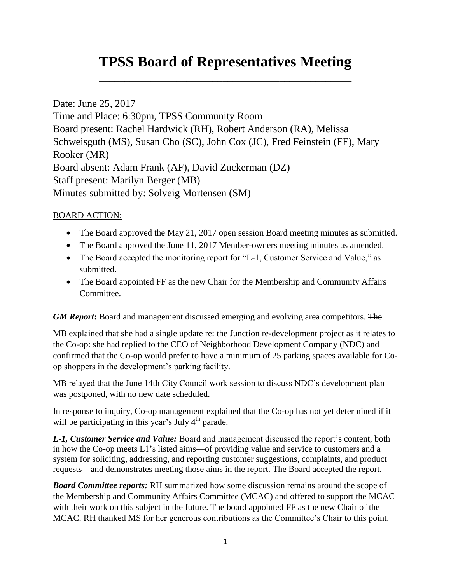## **TPSS Board of Representatives Meeting**

\_\_\_\_\_\_\_\_\_\_\_\_\_\_\_\_\_\_\_\_\_\_\_\_\_\_\_\_\_\_\_\_\_\_\_\_\_\_\_\_\_\_\_\_\_\_\_\_\_

Date: June 25, 2017 Time and Place: 6:30pm, TPSS Community Room Board present: Rachel Hardwick (RH), Robert Anderson (RA), Melissa Schweisguth (MS), Susan Cho (SC), John Cox (JC), Fred Feinstein (FF), Mary Rooker (MR) Board absent: Adam Frank (AF), David Zuckerman (DZ) Staff present: Marilyn Berger (MB) Minutes submitted by: Solveig Mortensen (SM)

## BOARD ACTION:

- The Board approved the May 21, 2017 open session Board meeting minutes as submitted.
- The Board approved the June 11, 2017 Member-owners meeting minutes as amended.
- The Board accepted the monitoring report for "L-1, Customer Service and Value," as submitted.
- The Board appointed FF as the new Chair for the Membership and Community Affairs Committee.

*GM Report***:** Board and management discussed emerging and evolving area competitors. The

MB explained that she had a single update re: the Junction re-development project as it relates to the Co-op: she had replied to the CEO of Neighborhood Development Company (NDC) and confirmed that the Co-op would prefer to have a minimum of 25 parking spaces available for Coop shoppers in the development's parking facility.

MB relayed that the June 14th City Council work session to discuss NDC's development plan was postponed, with no new date scheduled.

In response to inquiry, Co-op management explained that the Co-op has not yet determined if it will be participating in this year's July  $4<sup>th</sup>$  parade.

*L-1, Customer Service and Value:* Board and management discussed the report's content, both in how the Co-op meets L1's listed aims—of providing value and service to customers and a system for soliciting, addressing, and reporting customer suggestions, complaints, and product requests—and demonstrates meeting those aims in the report. The Board accepted the report.

*Board Committee reports:* RH summarized how some discussion remains around the scope of the Membership and Community Affairs Committee (MCAC) and offered to support the MCAC with their work on this subject in the future. The board appointed FF as the new Chair of the MCAC. RH thanked MS for her generous contributions as the Committee's Chair to this point.